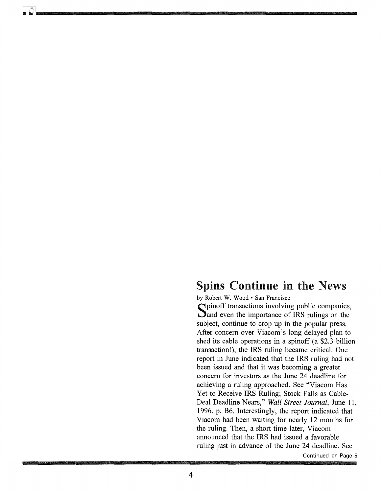# Spins Continue in the News

by Robert W. Wood· San Francisco

Spinoff transactions involving public companies,<br>Sand even the importance of IRS rulings on the subject, continue to crop up in the popular press. After concern over Viacom's long delayed plan to shed its cable operations in a spinoff (a \$2.3 billion transaction!), the IRS ruling became critical. One report in June indicated that the IRS ruling had not been issued and that it was becoming a greater concern for investors as the June 24 deadline for achieving a ruling approached. See "Viacom Has Yet to Receive IRS Ruling; Stock Falls as Cable-Deal Deadline Nears," *Wall Street Journal,* June 11, 1996, p. B6. Interestingly, the report indicated that Viacom had been waiting for nearly 12 months for the ruling. Then, a short time later, Viacom announced that the IRS had issued a favorable ruling just in advance of the June 24 deadline. See

Continued on Page 5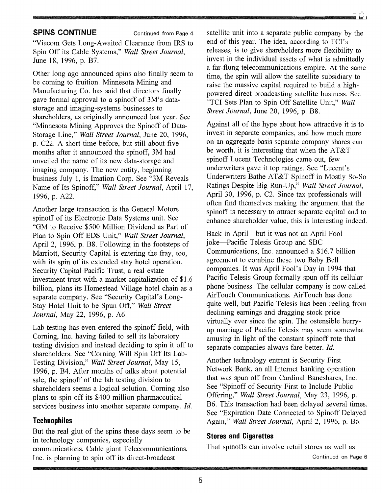# **SPINS CONTINUE** Continued from Page 4

"Viacom Gets Long-Awaited Clearance from IRS to Spin Off its Cable Systems," *Wall Street Journal,*  June 18, 1996, p. B7.

Other long ago announced spins also finally seem to be coming to fruition. Minnesota Mining and Manufacturing Co. has said that directors finally gave formal approval to a spinoff of 3M's datastorage and imaging -systems businesses to shareholders, as originally announced last year. See "Minnesota Mining Approves the Spinoff of Data-Storage Line," *Wall Street Journal,* June 20, 1996, p. C22. A short time before, but still about five months after it announced the spinoff, 3M had unveiled the name of its new data-storage and imaging company. The new entity, beginning business July 1, is Imation Corp. See "3M Reveals Name of Its Spinoff," *Wall Street Journal,* April 17, 1996, p. A22.

Another large transaction is the General Motors spinoff of its Electronic Data Systems unit. See "GM to Receive \$500 Million Dividend as Part of Plan to Spin Off EDS Unit," *Wall Street Journal,*  April 2, 1996, p. B8. Following in the footsteps of Marriott, Security Capital is entering the fray, too, with its spin of its extended stay hotel operation. Security Capital Pacific Trust, a real estate investment trust with a market capitalization of \$1.6 billion, plans its Homestead Village hotel chain as a separate company. See "Security Capital's Long-Stay Hotel Unit to be Spun Off," *Wall Street Journal,* May 22, 1996, p. A6.

Lab testing has even entered the spinoff field, with Corning, Inc. having failed to sell its laboratory testing division and instead deciding to spin it off to shareholders. See "Corning Will Spin Off Its Lab-Testing Division," *Wall Street Journal,* May 15, 1996, p. B4. After months of talks about potential sale, the spinoff of the lab testing division to shareholders seems a logical solution. Corning also plans to spin off its \$400 million pharmaceutical services business into another separate company. *Id.* 

### **Technophiles**

But the real glut of the spins these days seem to be in technology companies, especially communications. Cable giant Telecommunications, Inc. is planning to spin off its direct-broadcast

satellite unit into a separate public company by the end of this year. The idea, according to TCl's releases, is to give shareholders more flexibility to invest in the individual assets of what is admittedly a far-flung telecommunications empire. At the same time, the spin will allow the satellite subsidiary to raise the massive capital required to build a highpowered direct broadcasting satellite business. See "TCI Sets Plan to Spin Off Satellite Unit," *Wall Street Journal,* June 20, 1996, p. B8.

Against all of the hype about how attractive it is to invest in separate companies, and how much more on an aggregate basis separate company shares can be worth, it is interesting that when the AT&T spinoff Lucent Technologies came out, few underwriters gave it top ratings. See "Lucent's Underwriters Bathe AT&T Spinoff in Mostly So-So Ratings Despite Big Run-Up," *Wall Street Journal,*  April 30, 1996, p. C2. Since tax professionals will often find themselves making the argument that the spinoff is necessary to attract separate capital and to enhance shareholder value, this is interesting indeed.

Back in April-but it was not an April Fool joke-Pacific Telesis Group and SBC Communications, Inc. announced a \$16.7 billion agreement to combine these two Baby Bell companies. It was April Fool's Day in 1994 that Pacific Telesis Group formally spun off its cellular phone business. The cellular company is now called AirTouch Communications. AirTouch has done quite well, but Pacific Telesis has been reeling from declining earnings and dragging stock price virtually ever since the spin. The ostensible hurryup marriage of Pacific Telesis may seem somewhat amusing in light of the constant spinoff rote that separate companies always fare better. *!d.* 

Another technology entrant is Security First Network Bank, an all Internet banking operation that was spun off from Cardinal Bancshares, Inc. See "Spinoff of Security First to Include Public Offering," *Wall Street Journal,* May 23, 1996, p. B6. This transaction had been delayed several times. See "Expiration Date Connected to Spinoff Delayed Again," *Wall Street Journal,* April 2, 1996, p. B6.

# **Stores and Cigarettes**

That spinoffs can involve retail stores as well as Continued on Page 6